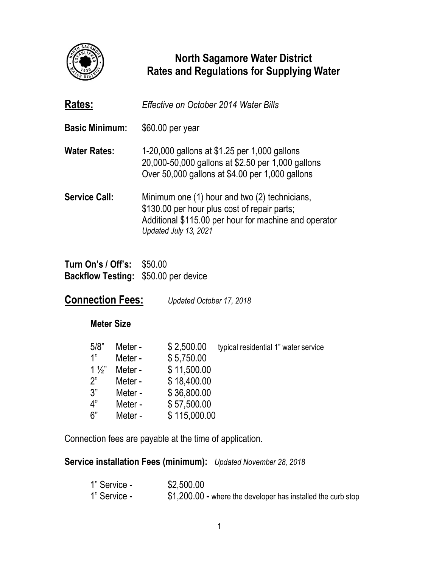

## **North Sagamore Water District Rates and Regulations for Supplying Water**

| Rates:                | Effective on October 2014 Water Bills                                                                                                                                           |
|-----------------------|---------------------------------------------------------------------------------------------------------------------------------------------------------------------------------|
| <b>Basic Minimum:</b> | \$60.00 per year                                                                                                                                                                |
| Water Rates:          | 1-20,000 gallons at \$1.25 per 1,000 gallons<br>20,000-50,000 gallons at \$2.50 per 1,000 gallons<br>Over 50,000 gallons at \$4.00 per 1,000 gallons                            |
| <b>Service Call:</b>  | Minimum one (1) hour and two (2) technicians,<br>\$130.00 per hour plus cost of repair parts;<br>Additional \$115.00 per hour for machine and operator<br>Updated July 13, 2021 |

**Turn On's / Off's:** \$50.00 **Backflow Testing:** \$50.00 per device

**Connection Fees:** *Updated October 17, 2018* 

## **Meter Size**

| Meter - | \$2,500.00   | typical residential 1" water service |
|---------|--------------|--------------------------------------|
|         |              |                                      |
| Meter - | \$11,500.00  |                                      |
| Meter - | \$18,400.00  |                                      |
| Meter - | \$36,800.00  |                                      |
| Meter - | \$57,500.00  |                                      |
| Meter - | \$115,000.00 |                                      |
|         | Meter -      | \$5,750.00                           |

Connection fees are payable at the time of application.

**Service installation Fees (minimum):** *Updated November 28, 2018*

| 1" Service - | \$2,500.00                                                   |
|--------------|--------------------------------------------------------------|
| 1" Service - | \$1,200.00 - where the developer has installed the curb stop |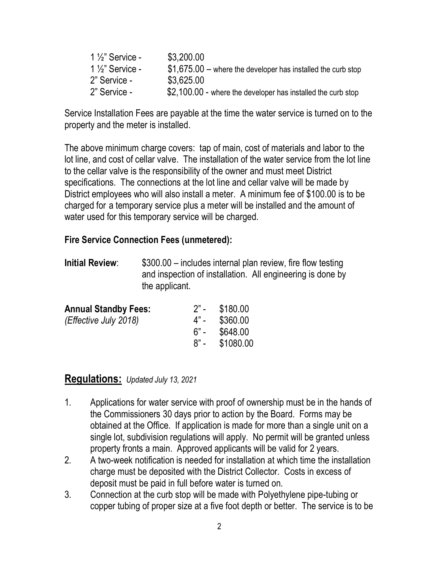| $1\frac{1}{2}$ " Service - | \$3,200.00                                                    |
|----------------------------|---------------------------------------------------------------|
| $1\frac{1}{2}$ " Service - | $$1.675.00$ – where the developer has installed the curb stop |
| 2" Service -               | \$3.625.00                                                    |
| 2" Service -               | \$2,100.00 - where the developer has installed the curb stop  |

Service Installation Fees are payable at the time the water service is turned on to the property and the meter is installed.

The above minimum charge covers: tap of main, cost of materials and labor to the lot line, and cost of cellar valve. The installation of the water service from the lot line to the cellar valve is the responsibility of the owner and must meet District specifications. The connections at the lot line and cellar valve will be made by District employees who will also install a meter. A minimum fee of \$100.00 is to be charged for a temporary service plus a meter will be installed and the amount of water used for this temporary service will be charged.

## **Fire Service Connection Fees (unmetered):**

**Initial Review:**  $$300.00 -$  includes internal plan review, fire flow testing and inspection of installation. All engineering is done by the applicant.

| $2" -$ | \$180.00  |
|--------|-----------|
| 4" -   | \$360.00  |
| ٬ –    | \$648.00  |
| $R" -$ | \$1080.00 |
|        |           |

## **Regulations:** *Updated July 13, 2021*

- 1. Applications for water service with proof of ownership must be in the hands of the Commissioners 30 days prior to action by the Board. Forms may be obtained at the Office. If application is made for more than a single unit on a single lot, subdivision regulations will apply. No permit will be granted unless property fronts a main. Approved applicants will be valid for 2 years.
- 2. A two-week notification is needed for installation at which time the installation charge must be deposited with the District Collector. Costs in excess of deposit must be paid in full before water is turned on.
- 3. Connection at the curb stop will be made with Polyethylene pipe-tubing or copper tubing of proper size at a five foot depth or better. The service is to be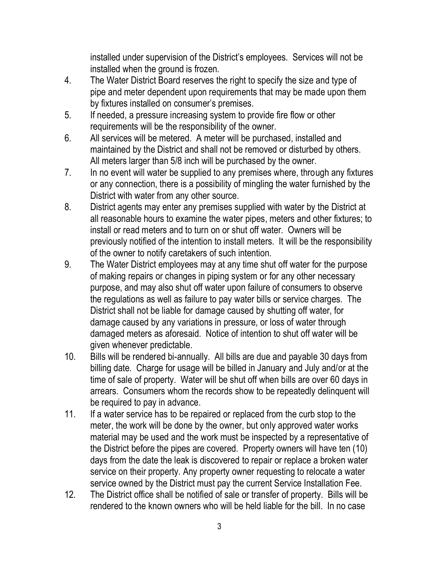installed under supervision of the District's employees. Services will not be installed when the ground is frozen.

- 4. The Water District Board reserves the right to specify the size and type of pipe and meter dependent upon requirements that may be made upon them by fixtures installed on consumer's premises.
- 5. If needed, a pressure increasing system to provide fire flow or other requirements will be the responsibility of the owner.
- 6. All services will be metered. A meter will be purchased, installed and maintained by the District and shall not be removed or disturbed by others. All meters larger than 5/8 inch will be purchased by the owner.
- 7. In no event will water be supplied to any premises where, through any fixtures or any connection, there is a possibility of mingling the water furnished by the District with water from any other source.
- 8. District agents may enter any premises supplied with water by the District at all reasonable hours to examine the water pipes, meters and other fixtures; to install or read meters and to turn on or shut off water. Owners will be previously notified of the intention to install meters. It will be the responsibility of the owner to notify caretakers of such intention.
- 9. The Water District employees may at any time shut off water for the purpose of making repairs or changes in piping system or for any other necessary purpose, and may also shut off water upon failure of consumers to observe the regulations as well as failure to pay water bills or service charges. The District shall not be liable for damage caused by shutting off water, for damage caused by any variations in pressure, or loss of water through damaged meters as aforesaid. Notice of intention to shut off water will be given whenever predictable.
- 10. Bills will be rendered bi-annually. All bills are due and payable 30 days from billing date. Charge for usage will be billed in January and July and/or at the time of sale of property. Water will be shut off when bills are over 60 days in arrears. Consumers whom the records show to be repeatedly delinquent will be required to pay in advance.
- 11. If a water service has to be repaired or replaced from the curb stop to the meter, the work will be done by the owner, but only approved water works material may be used and the work must be inspected by a representative of the District before the pipes are covered. Property owners will have ten (10) days from the date the leak is discovered to repair or replace a broken water service on their property. Any property owner requesting to relocate a water service owned by the District must pay the current Service Installation Fee.
- 12. The District office shall be notified of sale or transfer of property. Bills will be rendered to the known owners who will be held liable for the bill. In no case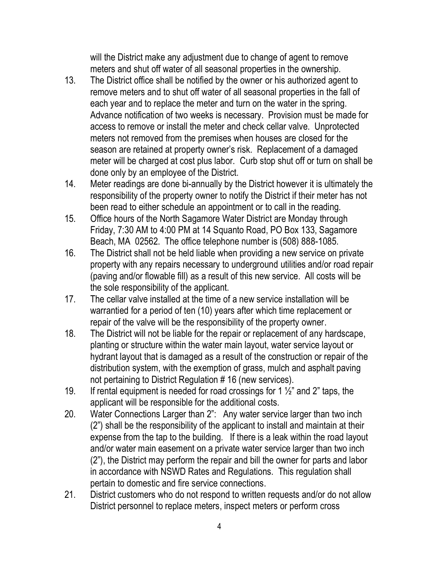will the District make any adjustment due to change of agent to remove meters and shut off water of all seasonal properties in the ownership.

- 13. The District office shall be notified by the owner or his authorized agent to remove meters and to shut off water of all seasonal properties in the fall of each year and to replace the meter and turn on the water in the spring. Advance notification of two weeks is necessary. Provision must be made for access to remove or install the meter and check cellar valve. Unprotected meters not removed from the premises when houses are closed for the season are retained at property owner's risk. Replacement of a damaged meter will be charged at cost plus labor. Curb stop shut off or turn on shall be done only by an employee of the District.
- 14. Meter readings are done bi-annually by the District however it is ultimately the responsibility of the property owner to notify the District if their meter has not been read to either schedule an appointment or to call in the reading.
- 15. Office hours of the North Sagamore Water District are Monday through Friday, 7:30 AM to 4:00 PM at 14 Squanto Road, PO Box 133, Sagamore Beach, MA 02562. The office telephone number is (508) 888-1085.
- 16. The District shall not be held liable when providing a new service on private property with any repairs necessary to underground utilities and/or road repair (paving and/or flowable fill) as a result of this new service. All costs will be the sole responsibility of the applicant.
- 17. The cellar valve installed at the time of a new service installation will be warrantied for a period of ten (10) years after which time replacement or repair of the valve will be the responsibility of the property owner.
- 18. The District will not be liable for the repair or replacement of any hardscape, planting or structure within the water main layout, water service layout or hydrant layout that is damaged as a result of the construction or repair of the distribution system, with the exemption of grass, mulch and asphalt paving not pertaining to District Regulation # 16 (new services).
- 19. If rental equipment is needed for road crossings for 1  $\frac{1}{2}$ " and 2" taps, the applicant will be responsible for the additional costs.
- 20. Water Connections Larger than 2": Any water service larger than two inch (2") shall be the responsibility of the applicant to install and maintain at their expense from the tap to the building. If there is a leak within the road layout and/or water main easement on a private water service larger than two inch (2"), the District may perform the repair and bill the owner for parts and labor in accordance with NSWD Rates and Regulations. This regulation shall pertain to domestic and fire service connections.
- 21. District customers who do not respond to written requests and/or do not allow District personnel to replace meters, inspect meters or perform cross